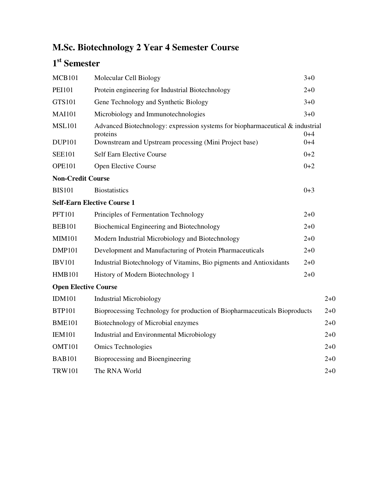## **M.Sc. Biotechnology 2 Year 4 Semester Course**

## **1 st Semester**

| <b>MCB101</b>                  | Molecular Cell Biology                                                                                                                                 | $3+0$              |         |
|--------------------------------|--------------------------------------------------------------------------------------------------------------------------------------------------------|--------------------|---------|
| <b>PEI101</b>                  | Protein engineering for Industrial Biotechnology                                                                                                       | $2 + 0$            |         |
| GTS101                         | Gene Technology and Synthetic Biology                                                                                                                  | $3+0$              |         |
| <b>MAI101</b>                  | Microbiology and Immunotechnologies                                                                                                                    | $3 + 0$            |         |
| <b>MSL101</b><br><b>DUP101</b> | Advanced Biotechnology: expression systems for biopharmaceutical $\&$ industrial<br>proteins<br>Downstream and Upstream processing (Mini Project base) | $0 + 4$<br>$0 + 4$ |         |
| <b>SEE101</b>                  | <b>Self Earn Elective Course</b>                                                                                                                       | $0 + 2$            |         |
| <b>OPE101</b>                  | Open Elective Course                                                                                                                                   | $0 + 2$            |         |
| <b>Non-Credit Course</b>       |                                                                                                                                                        |                    |         |
| <b>BIS101</b>                  | <b>Biostatistics</b>                                                                                                                                   | $0 + 3$            |         |
|                                | <b>Self-Earn Elective Course 1</b>                                                                                                                     |                    |         |
| <b>PFT101</b>                  | Principles of Fermentation Technology                                                                                                                  | $2+0$              |         |
| <b>BEB101</b>                  | Biochemical Engineering and Biotechnology                                                                                                              | $2 + 0$            |         |
| <b>MIM101</b>                  | Modern Industrial Microbiology and Biotechnology                                                                                                       | $2 + 0$            |         |
| <b>DMP101</b>                  | Development and Manufacturing of Protein Pharmaceuticals                                                                                               | $2 + 0$            |         |
| <b>IBV101</b>                  | Industrial Biotechnology of Vitamins, Bio pigments and Antioxidants                                                                                    | $2 + 0$            |         |
| <b>HMB101</b>                  | History of Modern Biotechnology 1                                                                                                                      | $2 + 0$            |         |
| <b>Open Elective Course</b>    |                                                                                                                                                        |                    |         |
| <b>IDM101</b>                  | <b>Industrial Microbiology</b>                                                                                                                         |                    | $2+0$   |
| <b>BTP101</b>                  | Bioprocessing Technology for production of Biopharmaceuticals Bioproducts                                                                              |                    | $2+0$   |
| <b>BME101</b>                  | Biotechnology of Microbial enzymes                                                                                                                     |                    | $2+0$   |
| <b>IEM101</b>                  | Industrial and Environmental Microbiology                                                                                                              |                    | $2 + 0$ |
| <b>OMT101</b>                  | <b>Omics Technologies</b>                                                                                                                              |                    | $2 + 0$ |
| <b>BAB101</b>                  | Bioprocessing and Bioengineering                                                                                                                       |                    | $2 + 0$ |
| <b>TRW101</b>                  | The RNA World                                                                                                                                          |                    | $2 + 0$ |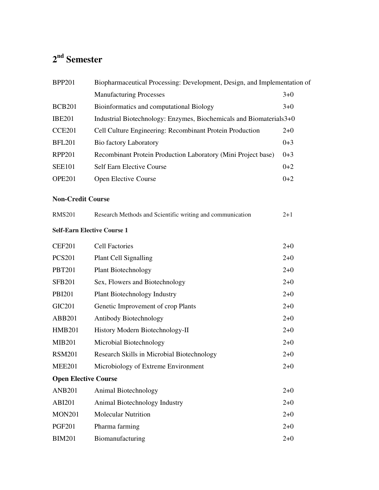## **2 nd Semester**

| <b>BPP201</b>      | Biopharmaceutical Processing: Development, Design, and Implementation of |         |
|--------------------|--------------------------------------------------------------------------|---------|
|                    | <b>Manufacturing Processes</b>                                           | $3+0$   |
| <b>BCB201</b>      | Bioinformatics and computational Biology                                 | $3+0$   |
| <b>IBE201</b>      | Industrial Biotechnology: Enzymes, Biochemicals and Biomaterials3+0      |         |
| CCE <sub>201</sub> | Cell Culture Engineering: Recombinant Protein Production                 | $2+0$   |
| <b>BFL201</b>      | <b>Bio factory Laboratory</b>                                            | $0 + 3$ |
| <b>RPP201</b>      | Recombinant Protein Production Laboratory (Mini Project base)            | $0 + 3$ |
| <b>SEE101</b>      | <b>Self Earn Elective Course</b>                                         | $0+2$   |
| <b>OPE201</b>      | Open Elective Course                                                     | $0+2$   |

## **Non-Credit Course**

| <b>RMS201</b> | Research Methods and Scientific writing and communication | $2+1$ |
|---------------|-----------------------------------------------------------|-------|
|               | <b>Self-Earn Elective Course 1</b>                        |       |
| CEF201        | <b>Cell Factories</b>                                     | $2+0$ |
| <b>PCS201</b> | Plant Cell Signalling                                     | $2+0$ |
| <b>PBT201</b> | <b>Plant Biotechnology</b>                                | $2+0$ |

| $1 \nu 1201$                | T TAIR DIVIUUIIIUIVE V                     | ∠⊤∪   |
|-----------------------------|--------------------------------------------|-------|
| <b>SFB201</b>               | Sex, Flowers and Biotechnology             | $2+0$ |
| <b>PBI201</b>               | <b>Plant Biotechnology Industry</b>        | $2+0$ |
| <b>GIC201</b>               | Genetic Improvement of crop Plants         | $2+0$ |
| <b>ABB201</b>               | Antibody Biotechnology                     | $2+0$ |
| <b>HMB201</b>               | History Modern Biotechnology-II            | $2+0$ |
| <b>MIB201</b>               | Microbial Biotechnology                    | $2+0$ |
| <b>RSM201</b>               | Research Skills in Microbial Biotechnology | $2+0$ |
| <b>MEE201</b>               | Microbiology of Extreme Environment        | $2+0$ |
| <b>Open Elective Course</b> |                                            |       |
| <b>ANB201</b>               | Animal Biotechnology                       | $2+0$ |
|                             |                                            |       |

| ANDZUI        | Animal Brotechnology          | $2+0$ |
|---------------|-------------------------------|-------|
| ABI201        | Animal Biotechnology Industry | $2+0$ |
| <b>MON201</b> | <b>Molecular Nutrition</b>    | $2+0$ |
| PGF201        | Pharma farming                | $2+0$ |
| <b>BIM201</b> | Biomanufacturing              | $2+0$ |